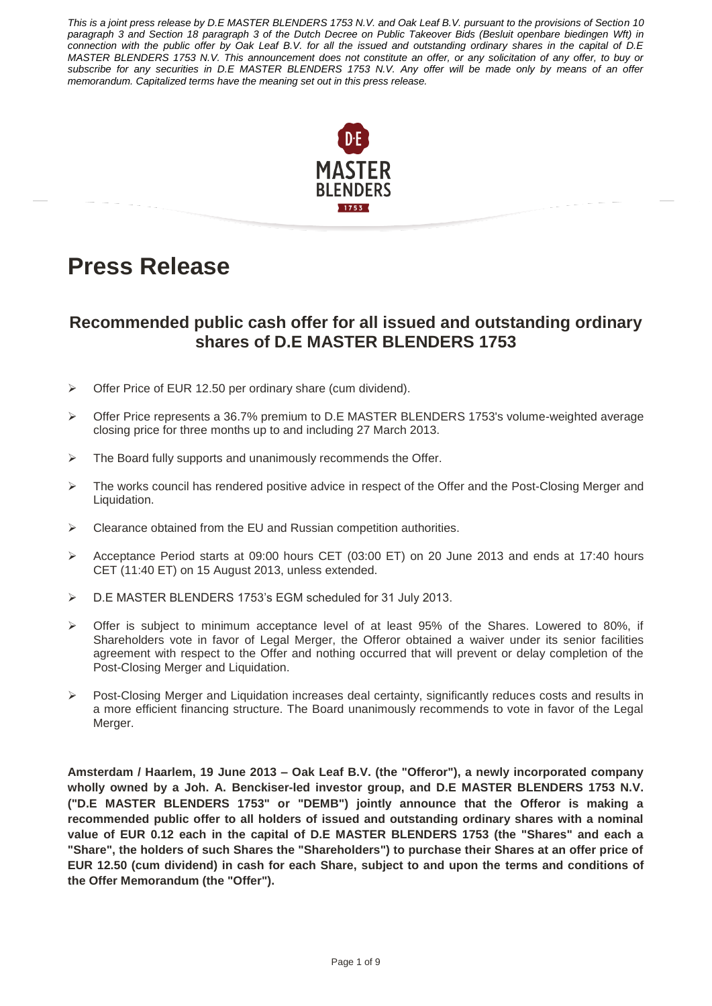*This is a joint press release by D.E MASTER BLENDERS 1753 N.V. and Oak Leaf B.V. pursuant to the provisions of Section 10 paragraph 3 and Section 18 paragraph 3 of the Dutch Decree on Public Takeover Bids (Besluit openbare biedingen Wft) in connection with the public offer by Oak Leaf B.V. for all the issued and outstanding ordinary shares in the capital of D.E MASTER BLENDERS 1753 N.V. This announcement does not constitute an offer, or any solicitation of any offer, to buy or subscribe for any securities in D.E MASTER BLENDERS 1753 N.V. Any offer will be made only by means of an offer memorandum. Capitalized terms have the meaning set out in this press release.*



# **Press Release**

## **Recommended public cash offer for all issued and outstanding ordinary shares of D.E MASTER BLENDERS 1753**

- $\triangleright$  Offer Price of EUR 12.50 per ordinary share (cum dividend).
- Offer Price represents a 36.7% premium to D.E MASTER BLENDERS 1753's volume-weighted average closing price for three months up to and including 27 March 2013.
- $\triangleright$  The Board fully supports and unanimously recommends the Offer.
- $\triangleright$  The works council has rendered positive advice in respect of the Offer and the Post-Closing Merger and Liquidation.
- $\triangleright$  Clearance obtained from the EU and Russian competition authorities.
- $\triangleright$  Acceptance Period starts at 09:00 hours CET (03:00 ET) on 20 June 2013 and ends at 17:40 hours CET (11:40 ET) on 15 August 2013, unless extended.
- D.E MASTER BLENDERS 1753's EGM scheduled for 31 July 2013.
- $\triangleright$  Offer is subject to minimum acceptance level of at least 95% of the Shares. Lowered to 80%, if Shareholders vote in favor of Legal Merger, the Offeror obtained a waiver under its senior facilities agreement with respect to the Offer and nothing occurred that will prevent or delay completion of the Post-Closing Merger and Liquidation.
- $\triangleright$  Post-Closing Merger and Liquidation increases deal certainty, significantly reduces costs and results in a more efficient financing structure. The Board unanimously recommends to vote in favor of the Legal Merger.

**Amsterdam / Haarlem, 19 June 2013 – Oak Leaf B.V. (the "Offeror"), a newly incorporated company wholly owned by a Joh. A. Benckiser-led investor group, and D.E MASTER BLENDERS 1753 N.V. ("D.E MASTER BLENDERS 1753" or "DEMB") jointly announce that the Offeror is making a recommended public offer to all holders of issued and outstanding ordinary shares with a nominal value of EUR 0.12 each in the capital of D.E MASTER BLENDERS 1753 (the "Shares" and each a "Share", the holders of such Shares the "Shareholders") to purchase their Shares at an offer price of EUR 12.50 (cum dividend) in cash for each Share, subject to and upon the terms and conditions of the Offer Memorandum (the "Offer").**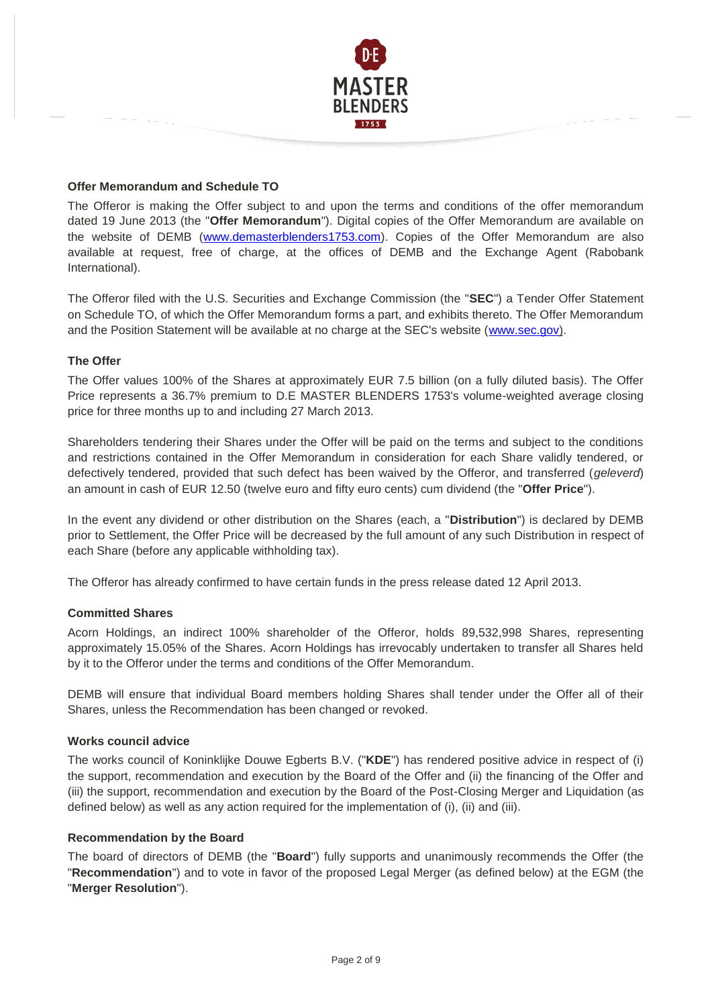

#### **Offer Memorandum and Schedule TO**

The Offeror is making the Offer subject to and upon the terms and conditions of the offer memorandum dated 19 June 2013 (the "**Offer Memorandum**"). Digital copies of the Offer Memorandum are available on the website of DEMB [\(www.demasterblenders1753.com\)](http://www.demasterblenders1753.com/). Copies of the Offer Memorandum are also available at request, free of charge, at the offices of DEMB and the Exchange Agent (Rabobank International).

The Offeror filed with the U.S. Securities and Exchange Commission (the "**SEC**") a Tender Offer Statement on Schedule TO, of which the Offer Memorandum forms a part, and exhibits thereto. The Offer Memorandum and the Position Statement will be available at no charge at the SEC's website [\(www.sec.gov\)](http://www.sec.gov/).

#### **The Offer**

The Offer values 100% of the Shares at approximately EUR 7.5 billion (on a fully diluted basis). The Offer Price represents a 36.7% premium to D.E MASTER BLENDERS 1753's volume-weighted average closing price for three months up to and including 27 March 2013.

Shareholders tendering their Shares under the Offer will be paid on the terms and subject to the conditions and restrictions contained in the Offer Memorandum in consideration for each Share validly tendered, or defectively tendered, provided that such defect has been waived by the Offeror, and transferred (*geleverd*) an amount in cash of EUR 12.50 (twelve euro and fifty euro cents) cum dividend (the "**Offer Price**").

In the event any dividend or other distribution on the Shares (each, a "**Distribution**") is declared by DEMB prior to Settlement, the Offer Price will be decreased by the full amount of any such Distribution in respect of each Share (before any applicable withholding tax).

The Offeror has already confirmed to have certain funds in the press release dated 12 April 2013.

#### **Committed Shares**

Acorn Holdings, an indirect 100% shareholder of the Offeror, holds 89,532,998 Shares, representing approximately 15.05% of the Shares. Acorn Holdings has irrevocably undertaken to transfer all Shares held by it to the Offeror under the terms and conditions of the Offer Memorandum.

DEMB will ensure that individual Board members holding Shares shall tender under the Offer all of their Shares, unless the Recommendation has been changed or revoked.

#### **Works council advice**

The works council of Koninklijke Douwe Egberts B.V. ("**KDE**") has rendered positive advice in respect of (i) the support, recommendation and execution by the Board of the Offer and (ii) the financing of the Offer and (iii) the support, recommendation and execution by the Board of the Post-Closing Merger and Liquidation (as defined below) as well as any action required for the implementation of (i), (ii) and (iii).

#### **Recommendation by the Board**

The board of directors of DEMB (the "**Board**") fully supports and unanimously recommends the Offer (the "**Recommendation**") and to vote in favor of the proposed Legal Merger (as defined below) at the EGM (the "**Merger Resolution**").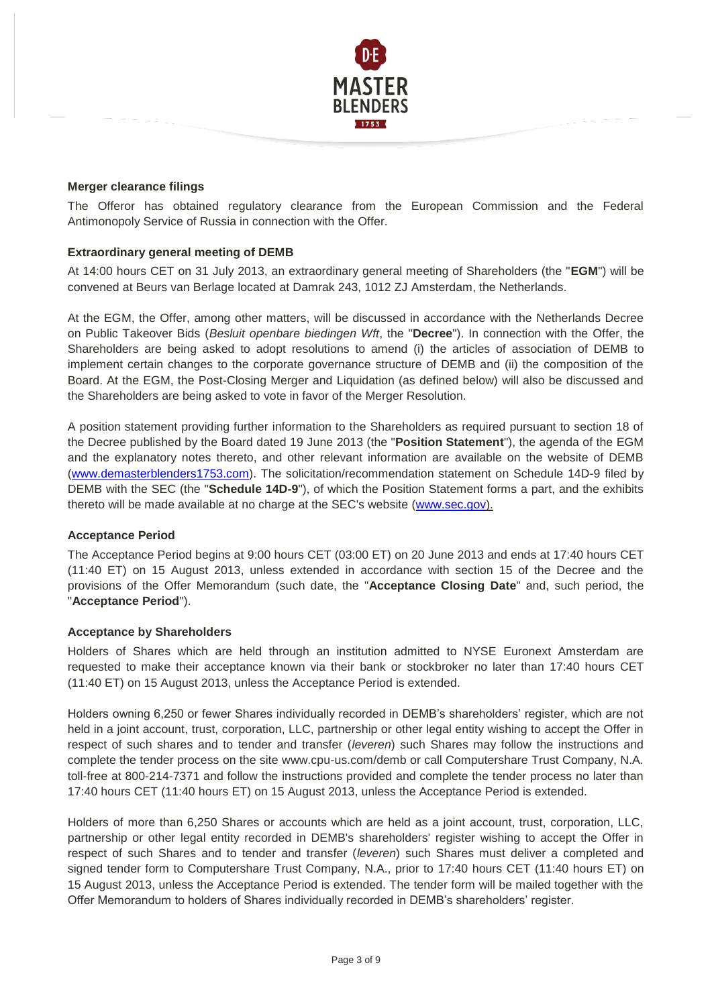

#### **Merger clearance filings**

The Offeror has obtained regulatory clearance from the European Commission and the Federal Antimonopoly Service of Russia in connection with the Offer.

#### **Extraordinary general meeting of DEMB**

At 14:00 hours CET on 31 July 2013, an extraordinary general meeting of Shareholders (the "**EGM**") will be convened at Beurs van Berlage located at Damrak 243, 1012 ZJ Amsterdam, the Netherlands.

At the EGM, the Offer, among other matters, will be discussed in accordance with the Netherlands Decree on Public Takeover Bids (*Besluit openbare biedingen Wft*, the "**Decree**"). In connection with the Offer, the Shareholders are being asked to adopt resolutions to amend (i) the articles of association of DEMB to implement certain changes to the corporate governance structure of DEMB and (ii) the composition of the Board. At the EGM, the Post-Closing Merger and Liquidation (as defined below) will also be discussed and the Shareholders are being asked to vote in favor of the Merger Resolution.

A position statement providing further information to the Shareholders as required pursuant to section 18 of the Decree published by the Board dated 19 June 2013 (the "**Position Statement**"), the agenda of the EGM and the explanatory notes thereto, and other relevant information are available on the website of DEMB [\(www.demasterblenders1753.com\)](http://www.demasterblenders1753.com/). The solicitation/recommendation statement on Schedule 14D-9 filed by DEMB with the SEC (the "**Schedule 14D-9**"), of which the Position Statement forms a part, and the exhibits thereto will be made available at no charge at the SEC's website [\(www.sec.gov\)](http://www.sec.gov/).

#### **Acceptance Period**

The Acceptance Period begins at 9:00 hours CET (03:00 ET) on 20 June 2013 and ends at 17:40 hours CET (11:40 ET) on 15 August 2013, unless extended in accordance with section 15 of the Decree and the provisions of the Offer Memorandum (such date, the "**Acceptance Closing Date**" and, such period, the "**Acceptance Period**").

#### **Acceptance by Shareholders**

Holders of Shares which are held through an institution admitted to NYSE Euronext Amsterdam are requested to make their acceptance known via their bank or stockbroker no later than 17:40 hours CET (11:40 ET) on 15 August 2013, unless the Acceptance Period is extended.

Holders owning 6,250 or fewer Shares individually recorded in DEMB's shareholders' register, which are not held in a joint account, trust, corporation, LLC, partnership or other legal entity wishing to accept the Offer in respect of such shares and to tender and transfer (*leveren*) such Shares may follow the instructions and complete the tender process on the site www.cpu-us.com/demb or call Computershare Trust Company, N.A. toll-free at 800-214-7371 and follow the instructions provided and complete the tender process no later than 17:40 hours CET (11:40 hours ET) on 15 August 2013, unless the Acceptance Period is extended.

Holders of more than 6,250 Shares or accounts which are held as a joint account, trust, corporation, LLC, partnership or other legal entity recorded in DEMB's shareholders' register wishing to accept the Offer in respect of such Shares and to tender and transfer (*leveren*) such Shares must deliver a completed and signed tender form to Computershare Trust Company, N.A., prior to 17:40 hours CET (11:40 hours ET) on 15 August 2013, unless the Acceptance Period is extended. The tender form will be mailed together with the Offer Memorandum to holders of Shares individually recorded in DEMB's shareholders' register.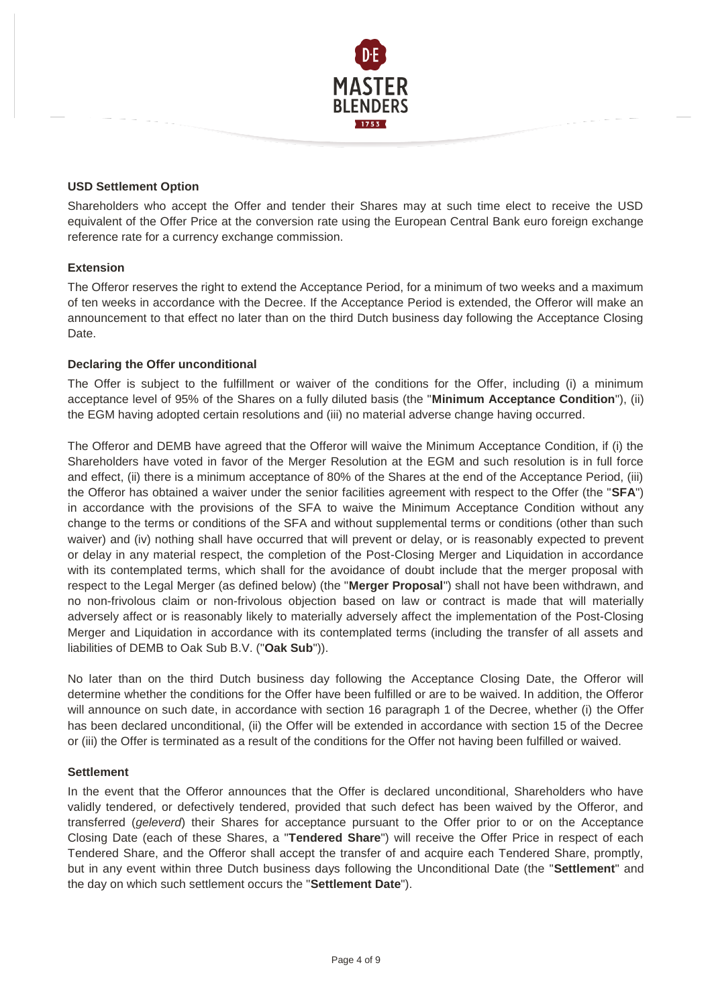

#### **USD Settlement Option**

Shareholders who accept the Offer and tender their Shares may at such time elect to receive the USD equivalent of the Offer Price at the conversion rate using the European Central Bank euro foreign exchange reference rate for a currency exchange commission.

#### **Extension**

The Offeror reserves the right to extend the Acceptance Period, for a minimum of two weeks and a maximum of ten weeks in accordance with the Decree. If the Acceptance Period is extended, the Offeror will make an announcement to that effect no later than on the third Dutch business day following the Acceptance Closing Date.

#### **Declaring the Offer unconditional**

The Offer is subject to the fulfillment or waiver of the conditions for the Offer, including (i) a minimum acceptance level of 95% of the Shares on a fully diluted basis (the "**Minimum Acceptance Condition**"), (ii) the EGM having adopted certain resolutions and (iii) no material adverse change having occurred.

The Offeror and DEMB have agreed that the Offeror will waive the Minimum Acceptance Condition, if (i) the Shareholders have voted in favor of the Merger Resolution at the EGM and such resolution is in full force and effect, (ii) there is a minimum acceptance of 80% of the Shares at the end of the Acceptance Period, (iii) the Offeror has obtained a waiver under the senior facilities agreement with respect to the Offer (the "**SFA**") in accordance with the provisions of the SFA to waive the Minimum Acceptance Condition without any change to the terms or conditions of the SFA and without supplemental terms or conditions (other than such waiver) and (iv) nothing shall have occurred that will prevent or delay, or is reasonably expected to prevent or delay in any material respect, the completion of the Post-Closing Merger and Liquidation in accordance with its contemplated terms, which shall for the avoidance of doubt include that the merger proposal with respect to the Legal Merger (as defined below) (the "**Merger Proposal**") shall not have been withdrawn, and no non-frivolous claim or non-frivolous objection based on law or contract is made that will materially adversely affect or is reasonably likely to materially adversely affect the implementation of the Post-Closing Merger and Liquidation in accordance with its contemplated terms (including the transfer of all assets and liabilities of DEMB to Oak Sub B.V. ("**Oak Sub**")).

No later than on the third Dutch business day following the Acceptance Closing Date, the Offeror will determine whether the conditions for the Offer have been fulfilled or are to be waived. In addition, the Offeror will announce on such date, in accordance with section 16 paragraph 1 of the Decree, whether (i) the Offer has been declared unconditional, (ii) the Offer will be extended in accordance with section 15 of the Decree or (iii) the Offer is terminated as a result of the conditions for the Offer not having been fulfilled or waived.

#### **Settlement**

In the event that the Offeror announces that the Offer is declared unconditional, Shareholders who have validly tendered, or defectively tendered, provided that such defect has been waived by the Offeror, and transferred (*geleverd*) their Shares for acceptance pursuant to the Offer prior to or on the Acceptance Closing Date (each of these Shares, a "**Tendered Share**") will receive the Offer Price in respect of each Tendered Share, and the Offeror shall accept the transfer of and acquire each Tendered Share, promptly, but in any event within three Dutch business days following the Unconditional Date (the "**Settlement**" and the day on which such settlement occurs the "**Settlement Date**").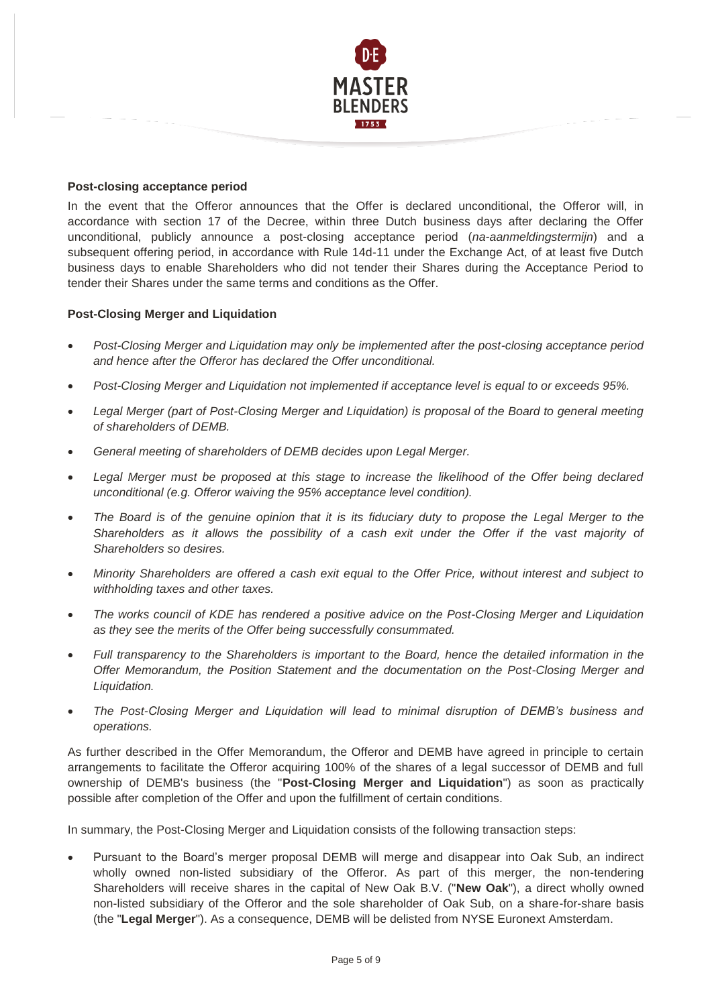

#### **Post-closing acceptance period**

In the event that the Offeror announces that the Offer is declared unconditional, the Offeror will, in accordance with section 17 of the Decree, within three Dutch business days after declaring the Offer unconditional, publicly announce a post-closing acceptance period (*na-aanmeldingstermijn*) and a subsequent offering period, in accordance with Rule 14d-11 under the Exchange Act, of at least five Dutch business days to enable Shareholders who did not tender their Shares during the Acceptance Period to tender their Shares under the same terms and conditions as the Offer.

#### **Post-Closing Merger and Liquidation**

- *Post-Closing Merger and Liquidation may only be implemented after the post-closing acceptance period and hence after the Offeror has declared the Offer unconditional.*
- *Post-Closing Merger and Liquidation not implemented if acceptance level is equal to or exceeds 95%.*
- *Legal Merger (part of Post-Closing Merger and Liquidation) is proposal of the Board to general meeting of shareholders of DEMB.*
- *General meeting of shareholders of DEMB decides upon Legal Merger.*
- *Legal Merger must be proposed at this stage to increase the likelihood of the Offer being declared unconditional (e.g. Offeror waiving the 95% acceptance level condition).*
- The Board is of the genuine opinion that it is its fiduciary duty to propose the Legal Merger to the *Shareholders as it allows the possibility of a cash exit under the Offer if the vast majority of Shareholders so desires.*
- *Minority Shareholders are offered a cash exit equal to the Offer Price, without interest and subject to withholding taxes and other taxes.*
- *The works council of KDE has rendered a positive advice on the Post-Closing Merger and Liquidation as they see the merits of the Offer being successfully consummated.*
- *Full transparency to the Shareholders is important to the Board, hence the detailed information in the Offer Memorandum, the Position Statement and the documentation on the Post-Closing Merger and Liquidation.*
- *The Post-Closing Merger and Liquidation will lead to minimal disruption of DEMB's business and operations.*

As further described in the Offer Memorandum, the Offeror and DEMB have agreed in principle to certain arrangements to facilitate the Offeror acquiring 100% of the shares of a legal successor of DEMB and full ownership of DEMB's business (the "**Post-Closing Merger and Liquidation**") as soon as practically possible after completion of the Offer and upon the fulfillment of certain conditions.

In summary, the Post-Closing Merger and Liquidation consists of the following transaction steps:

 Pursuant to the Board's merger proposal DEMB will merge and disappear into Oak Sub, an indirect wholly owned non-listed subsidiary of the Offeror. As part of this merger, the non-tendering Shareholders will receive shares in the capital of New Oak B.V. ("**New Oak**"), a direct wholly owned non-listed subsidiary of the Offeror and the sole shareholder of Oak Sub, on a share-for-share basis (the "**Legal Merger**"). As a consequence, DEMB will be delisted from NYSE Euronext Amsterdam.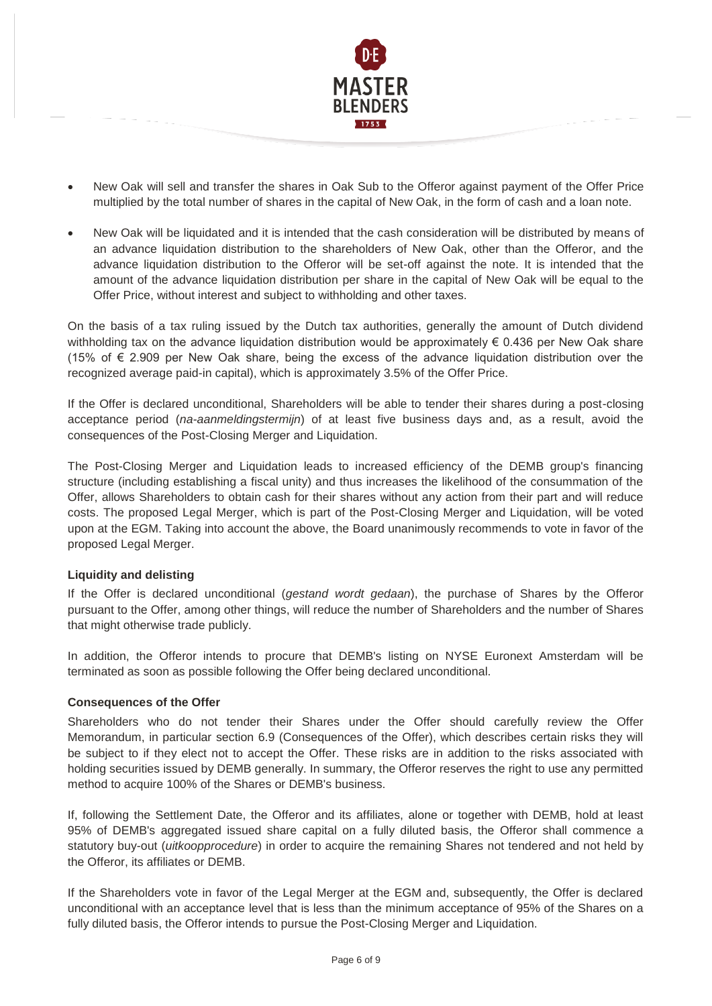

- New Oak will sell and transfer the shares in Oak Sub to the Offeror against payment of the Offer Price multiplied by the total number of shares in the capital of New Oak, in the form of cash and a loan note.
- New Oak will be liquidated and it is intended that the cash consideration will be distributed by means of an advance liquidation distribution to the shareholders of New Oak, other than the Offeror, and the advance liquidation distribution to the Offeror will be set-off against the note. It is intended that the amount of the advance liquidation distribution per share in the capital of New Oak will be equal to the Offer Price, without interest and subject to withholding and other taxes.

On the basis of a tax ruling issued by the Dutch tax authorities, generally the amount of Dutch dividend withholding tax on the advance liquidation distribution would be approximately  $\epsilon$  0.436 per New Oak share (15% of € 2.909 per New Oak share, being the excess of the advance liquidation distribution over the recognized average paid-in capital), which is approximately 3.5% of the Offer Price.

If the Offer is declared unconditional, Shareholders will be able to tender their shares during a post-closing acceptance period (*na-aanmeldingstermijn*) of at least five business days and, as a result, avoid the consequences of the Post-Closing Merger and Liquidation.

The Post-Closing Merger and Liquidation leads to increased efficiency of the DEMB group's financing structure (including establishing a fiscal unity) and thus increases the likelihood of the consummation of the Offer, allows Shareholders to obtain cash for their shares without any action from their part and will reduce costs. The proposed Legal Merger, which is part of the Post-Closing Merger and Liquidation, will be voted upon at the EGM. Taking into account the above, the Board unanimously recommends to vote in favor of the proposed Legal Merger.

#### **Liquidity and delisting**

If the Offer is declared unconditional (*gestand wordt gedaan*), the purchase of Shares by the Offeror pursuant to the Offer, among other things, will reduce the number of Shareholders and the number of Shares that might otherwise trade publicly.

In addition, the Offeror intends to procure that DEMB's listing on NYSE Euronext Amsterdam will be terminated as soon as possible following the Offer being declared unconditional.

#### **Consequences of the Offer**

Shareholders who do not tender their Shares under the Offer should carefully review the Offer Memorandum, in particular section 6.9 (Consequences of the Offer), which describes certain risks they will be subject to if they elect not to accept the Offer. These risks are in addition to the risks associated with holding securities issued by DEMB generally. In summary, the Offeror reserves the right to use any permitted method to acquire 100% of the Shares or DEMB's business.

If, following the Settlement Date, the Offeror and its affiliates, alone or together with DEMB, hold at least 95% of DEMB's aggregated issued share capital on a fully diluted basis, the Offeror shall commence a statutory buy-out (*uitkoopprocedure*) in order to acquire the remaining Shares not tendered and not held by the Offeror, its affiliates or DEMB.

If the Shareholders vote in favor of the Legal Merger at the EGM and, subsequently, the Offer is declared unconditional with an acceptance level that is less than the minimum acceptance of 95% of the Shares on a fully diluted basis, the Offeror intends to pursue the Post-Closing Merger and Liquidation.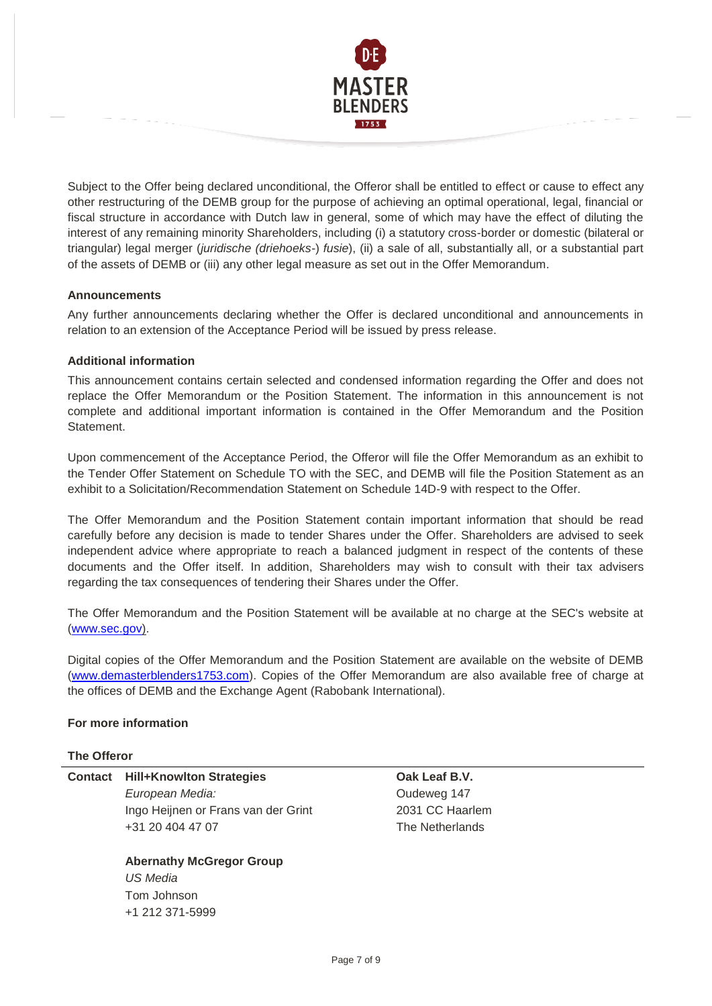

Subject to the Offer being declared unconditional, the Offeror shall be entitled to effect or cause to effect any other restructuring of the DEMB group for the purpose of achieving an optimal operational, legal, financial or fiscal structure in accordance with Dutch law in general, some of which may have the effect of diluting the interest of any remaining minority Shareholders, including (i) a statutory cross-border or domestic (bilateral or triangular) legal merger (*juridische (driehoeks-*) *fusie*), (ii) a sale of all, substantially all, or a substantial part of the assets of DEMB or (iii) any other legal measure as set out in the Offer Memorandum.

#### **Announcements**

Any further announcements declaring whether the Offer is declared unconditional and announcements in relation to an extension of the Acceptance Period will be issued by press release.

#### **Additional information**

This announcement contains certain selected and condensed information regarding the Offer and does not replace the Offer Memorandum or the Position Statement. The information in this announcement is not complete and additional important information is contained in the Offer Memorandum and the Position Statement.

Upon commencement of the Acceptance Period, the Offeror will file the Offer Memorandum as an exhibit to the Tender Offer Statement on Schedule TO with the SEC, and DEMB will file the Position Statement as an exhibit to a Solicitation/Recommendation Statement on Schedule 14D-9 with respect to the Offer.

The Offer Memorandum and the Position Statement contain important information that should be read carefully before any decision is made to tender Shares under the Offer. Shareholders are advised to seek independent advice where appropriate to reach a balanced judgment in respect of the contents of these documents and the Offer itself. In addition, Shareholders may wish to consult with their tax advisers regarding the tax consequences of tendering their Shares under the Offer.

The Offer Memorandum and the Position Statement will be available at no charge at the SEC's website at [\(www.sec.gov\)](http://www.sec.gov/).

Digital copies of the Offer Memorandum and the Position Statement are available on the website of DEMB [\(www.demasterblenders1753.com\)](http://www.demasterblenders1753.com/). Copies of the Offer Memorandum are also available free of charge at the offices of DEMB and the Exchange Agent (Rabobank International).

#### **For more information**

#### **The Offeror**

#### **Contact** Hill+Knowlton Strategies **COAK Leaf B.V.**

*European Media:* Oudeweg 147 Ingo Heijnen or Frans van der Grint 2031 CC Haarlem +31 20 404 47 07 The Netherlands

**Abernathy McGregor Group**  *US Media* Tom Johnson +1 212 371-5999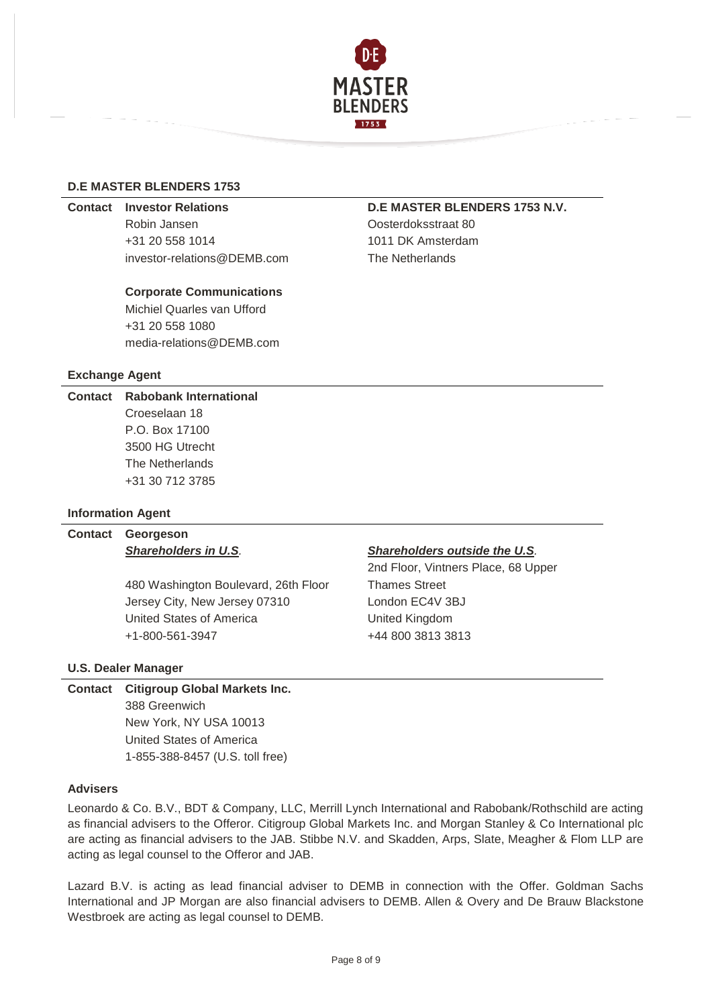

#### **D.E MASTER BLENDERS 1753**

Robin Jansen Oosterdoksstraat 80 +31 20 558 1014 1011 DK Amsterdam investor-relations@DEMB.com The Netherlands

#### **Corporate Communications**

Michiel Quarles van Ufford +31 20 558 1080 media-relations@DEMB.com

#### **Contact Investor Relations D.E MASTER BLENDERS 1753 N.V.**

### **Exchange Agent**

#### **Contact Rabobank International**

Croeselaan 18 P.O. Box 17100 3500 HG Utrecht The Netherlands +31 30 712 3785

#### **Information Agent**

# **Contact Georgeson**

480 Washington Boulevard, 26th Floor Jersey City, New Jersey 07310 London EC4V 3BJ United States of America **United Kingdom** +1-800-561-3947 +44 800 3813 3813

#### **U.S. Dealer Manager**

### **Contact Citigroup Global Markets Inc.**

388 Greenwich New York, NY USA 10013 United States of America 1-855-388-8457 (U.S. toll free)

#### **Advisers**

Leonardo & Co. B.V., BDT & Company, LLC, Merrill Lynch International and Rabobank/Rothschild are acting as financial advisers to the Offeror. Citigroup Global Markets Inc. and Morgan Stanley & Co International plc are acting as financial advisers to the JAB. Stibbe N.V. and Skadden, Arps, Slate, Meagher & Flom LLP are acting as legal counsel to the Offeror and JAB.

Lazard B.V. is acting as lead financial adviser to DEMB in connection with the Offer. Goldman Sachs International and JP Morgan are also financial advisers to DEMB. Allen & Overy and De Brauw Blackstone Westbroek are acting as legal counsel to DEMB.

#### *Shareholders in U.S. Shareholders outside the U.S.*

2nd Floor, Vintners Place, 68 Upper Thames Street